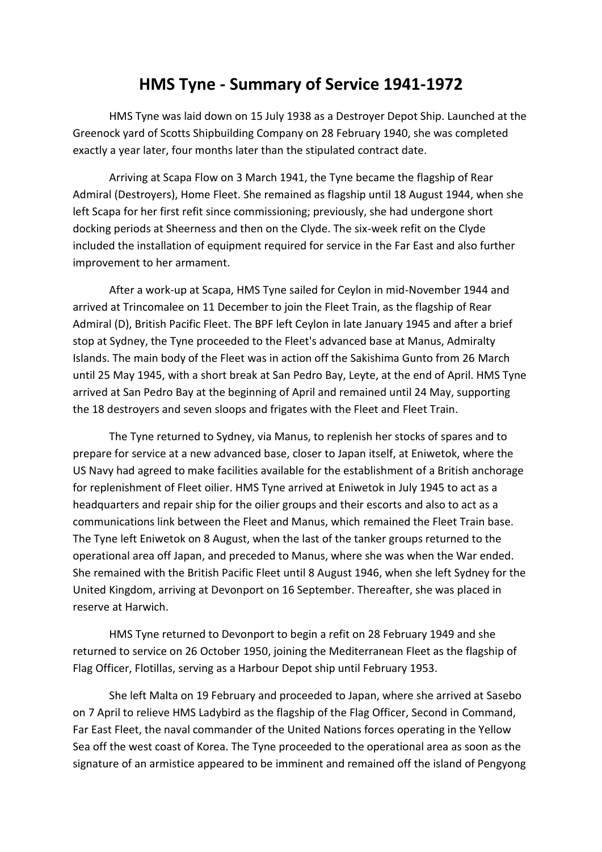## **HMS Tyne - Summary of Service 1941-1972**

HMS Tyne was laid down on 15 July 1938 as a Destroyer Depot Ship. Launched at the Greenock yard of Scotts Shipbuilding Company on 28 February 1940, she was completed exactly a year later, four months later than the stipulated contract date.

Arriving at Scapa Flow on 3 March 1941, the Tyne became the flagship of Rear Admiral (Destroyers), Home Fleet. She remained as flagship until 18 August 1944, when she left Scapa for her first refit since commissioning; previously, she had undergone short docking periods at Sheerness and then on the Clyde. The six-week refit on the Clyde included the installation of equipment required for service in the Far East and also further improvement to her armament.

After a work-up at Scapa, HMS Tyne sailed for Ceylon in mid-November 1944 and arrived at Trincomalee on 11 December to join the Fleet Train, as the flagship of Rear Admiral (D), British Pacific Fleet. The BPF left Ceylon in late January 1945 and after a brief stop at Sydney, the Tyne proceeded to the Fleet's advanced base at Manus, Admiralty Islands. The main body of the Fleet was in action off the Sakishima Gunto from 26 March until 25 May 1945, with a short break at San Pedro Bay, Leyte, at the end of April. HMS Tyne arrived at San Pedro Bay at the beginning of April and remained until 24 May, supporting the 18 destroyers and seven sloops and frigates with the Fleet and Fleet Train.

The Tyne returned to Sydney, via Manus, to replenish her stocks of spares and to prepare for service at a new advanced base, closer to Japan itself, at Eniwetok, where the US Navy had agreed to make facilities available for the establishment of a British anchorage for replenishment of Fleet oilier. HMS Tyne arrived at Eniwetok in July 1945 to act as a headquarters and repair ship for the oilier groups and their escorts and also to act as a communications link between the Fleet and Manus, which remained the Fleet Train base. The Tyne left Eniwetok on 8 August, when the last of the tanker groups returned to the operational area off Japan, and preceded to Manus, where she was when the War ended. She remained with the British Pacific Fleet until 8 August 1946, when she left Sydney for the United Kingdom, arriving at Devonport on 16 September. Thereafter, she was placed in reserve at Harwich.

HMS Tyne returned to Devonport to begin a refit on 28 February 1949 and she returned to service on 26 October 1950, joining the Mediterranean Fleet as the flagship of Flag Officer, Flotillas, serving as a Harbour Depot ship until February 1953.

She left Malta on 19 February and proceeded to Japan, where she arrived at Sasebo on 7 April to relieve HMS Ladybird as the flagship of the Flag Officer, Second in Command, Far East Fleet, the naval commander of the United Nations forces operating in the Yellow Sea off the west coast of Korea. The Tyne proceeded to the operational area as soon as the signature of an armistice appeared to be imminent and remained off the island of Pengyong